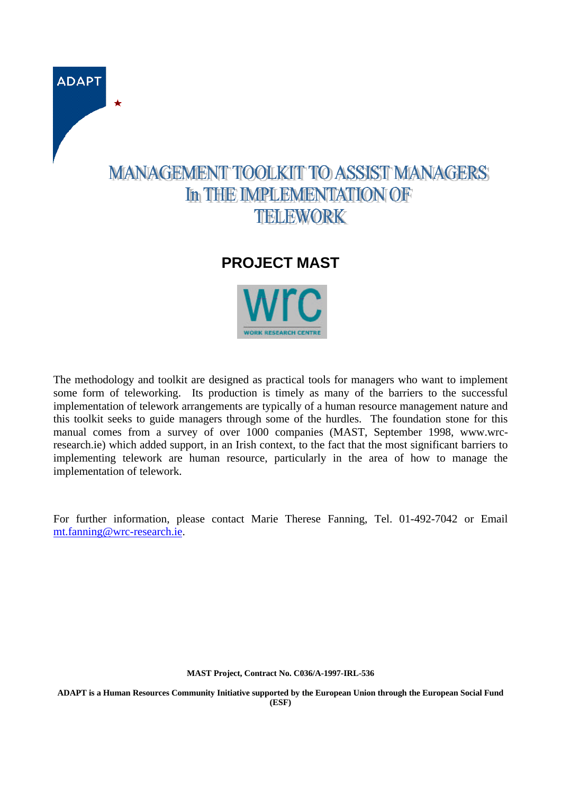

## **PROJECT MAST**



The methodology and toolkit are designed as practical tools for managers who want to implement some form of teleworking. Its production is timely as many of the barriers to the successful implementation of telework arrangements are typically of a human resource management nature and this toolkit seeks to guide managers through some of the hurdles. The foundation stone for this manual comes from a survey of over 1000 companies (MAST, September 1998, www.wrcresearch.ie) which added support, in an Irish context, to the fact that the most significant barriers to implementing telework are human resource, particularly in the area of how to manage the implementation of telework.

For further information, please contact Marie Therese Fanning, Tel. 01-492-7042 or Email mt.fanning@wrc-research.ie.

**MAST Project, Contract No. C036/A-1997-IRL-536**

**ADAPT is a Human Resources Community Initiative supported by the European Union through the European Social Fund (ESF)**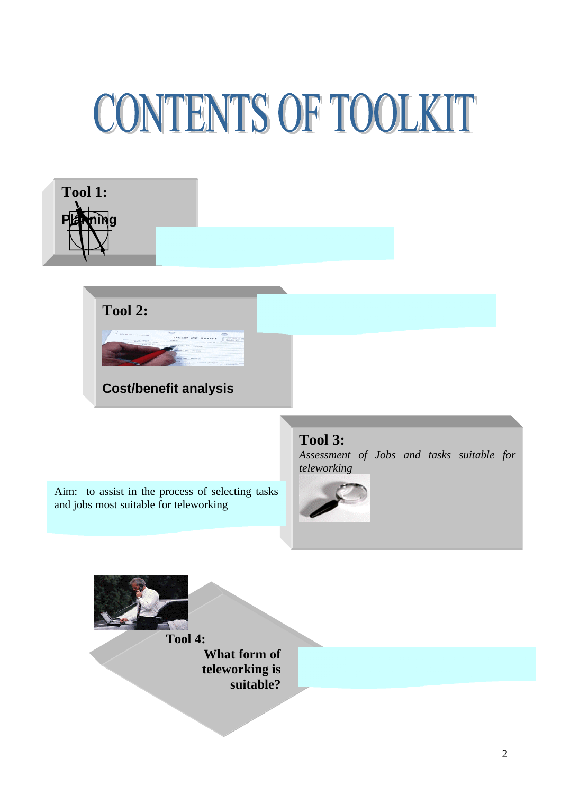## CONTENTS OF TOOLKIT